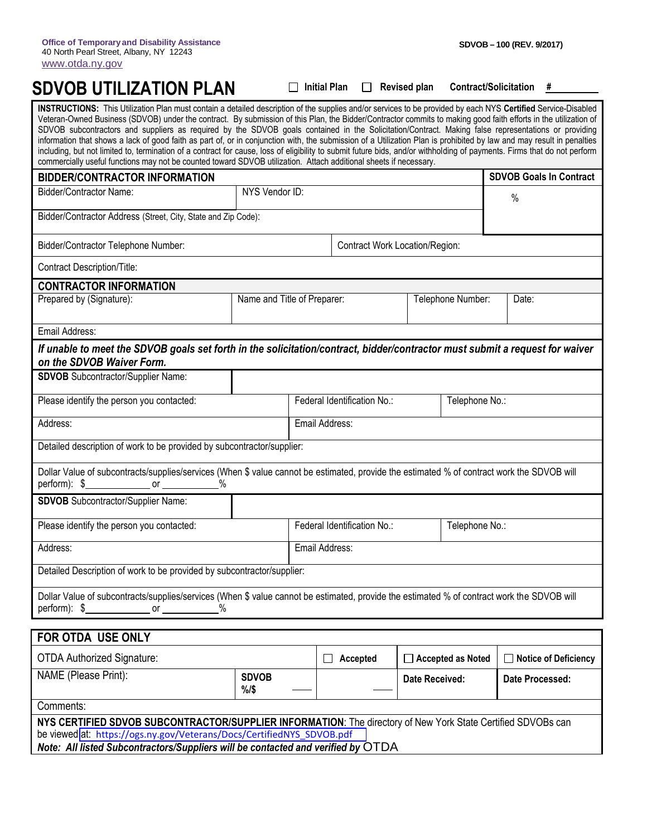|                               |  | □ Initial Plan □ Revised plan Contract/Solicitation # |  |
|-------------------------------|--|-------------------------------------------------------|--|
| <b>SDVOB UTILIZATION PLAN</b> |  |                                                       |  |

| INSTRUCTIONS: This Utilization Plan must contain a detailed description of the supplies and/or services to be provided by each NYS Certified Service-Disabled<br>Veteran-Owned Business (SDVOB) under the contract. By submission of this Plan, the Bidder/Contractor commits to making good faith efforts in the utilization of<br>SDVOB subcontractors and suppliers as required by the SDVOB goals contained in the Solicitation/Contract. Making false representations or providing<br>information that shows a lack of good faith as part of, or in conjunction with, the submission of a Utilization Plan is prohibited by law and may result in penalties<br>including, but not limited to, termination of a contract for cause, loss of eligibility to submit future bids, and/or withholding of payments. Firms that do not perform<br>commercially useful functions may not be counted toward SDVOB utilization. Attach additional sheets if necessary. |                                                  |                             |                                |                |                          |                                |
|-------------------------------------------------------------------------------------------------------------------------------------------------------------------------------------------------------------------------------------------------------------------------------------------------------------------------------------------------------------------------------------------------------------------------------------------------------------------------------------------------------------------------------------------------------------------------------------------------------------------------------------------------------------------------------------------------------------------------------------------------------------------------------------------------------------------------------------------------------------------------------------------------------------------------------------------------------------------|--------------------------------------------------|-----------------------------|--------------------------------|----------------|--------------------------|--------------------------------|
| <b>BIDDER/CONTRACTOR INFORMATION</b>                                                                                                                                                                                                                                                                                                                                                                                                                                                                                                                                                                                                                                                                                                                                                                                                                                                                                                                              |                                                  |                             |                                |                |                          | <b>SDVOB Goals In Contract</b> |
| Bidder/Contractor Name:                                                                                                                                                                                                                                                                                                                                                                                                                                                                                                                                                                                                                                                                                                                                                                                                                                                                                                                                           | NYS Vendor ID:                                   |                             |                                |                |                          | $\%$                           |
| Bidder/Contractor Address (Street, City, State and Zip Code):                                                                                                                                                                                                                                                                                                                                                                                                                                                                                                                                                                                                                                                                                                                                                                                                                                                                                                     |                                                  |                             |                                |                |                          |                                |
| Bidder/Contractor Telephone Number:                                                                                                                                                                                                                                                                                                                                                                                                                                                                                                                                                                                                                                                                                                                                                                                                                                                                                                                               |                                                  |                             | Contract Work Location/Region: |                |                          |                                |
| <b>Contract Description/Title:</b>                                                                                                                                                                                                                                                                                                                                                                                                                                                                                                                                                                                                                                                                                                                                                                                                                                                                                                                                |                                                  |                             |                                |                |                          |                                |
| <b>CONTRACTOR INFORMATION</b>                                                                                                                                                                                                                                                                                                                                                                                                                                                                                                                                                                                                                                                                                                                                                                                                                                                                                                                                     |                                                  |                             |                                |                |                          |                                |
| Prepared by (Signature):                                                                                                                                                                                                                                                                                                                                                                                                                                                                                                                                                                                                                                                                                                                                                                                                                                                                                                                                          | Name and Title of Preparer:<br>Telephone Number: |                             |                                | Date:          |                          |                                |
| Email Address:                                                                                                                                                                                                                                                                                                                                                                                                                                                                                                                                                                                                                                                                                                                                                                                                                                                                                                                                                    |                                                  |                             |                                |                |                          |                                |
| If unable to meet the SDVOB goals set forth in the solicitation/contract, bidder/contractor must submit a request for waiver<br>on the SDVOB Waiver Form.                                                                                                                                                                                                                                                                                                                                                                                                                                                                                                                                                                                                                                                                                                                                                                                                         |                                                  |                             |                                |                |                          |                                |
| <b>SDVOB</b> Subcontractor/Supplier Name:                                                                                                                                                                                                                                                                                                                                                                                                                                                                                                                                                                                                                                                                                                                                                                                                                                                                                                                         |                                                  |                             |                                |                |                          |                                |
| Please identify the person you contacted:                                                                                                                                                                                                                                                                                                                                                                                                                                                                                                                                                                                                                                                                                                                                                                                                                                                                                                                         |                                                  | Federal Identification No.: |                                | Telephone No.: |                          |                                |
| Address:                                                                                                                                                                                                                                                                                                                                                                                                                                                                                                                                                                                                                                                                                                                                                                                                                                                                                                                                                          | Email Address:                                   |                             |                                |                |                          |                                |
| Detailed description of work to be provided by subcontractor/supplier:                                                                                                                                                                                                                                                                                                                                                                                                                                                                                                                                                                                                                                                                                                                                                                                                                                                                                            |                                                  |                             |                                |                |                          |                                |
| Dollar Value of subcontracts/supplies/services (When \$ value cannot be estimated, provide the estimated % of contract work the SDVOB will<br>perform): $$$<br><b>Solution Service Service Service Service Service Service Service Service Service Service Service Service Service Service Service Service Service Service Service Service Service Service Service Service Service Service Serv</b>                                                                                                                                                                                                                                                                                                                                                                                                                                                                                                                                                               |                                                  |                             |                                |                |                          |                                |
| <b>SDVOB</b> Subcontractor/Supplier Name:                                                                                                                                                                                                                                                                                                                                                                                                                                                                                                                                                                                                                                                                                                                                                                                                                                                                                                                         |                                                  |                             |                                |                |                          |                                |
| Please identify the person you contacted:                                                                                                                                                                                                                                                                                                                                                                                                                                                                                                                                                                                                                                                                                                                                                                                                                                                                                                                         |                                                  | Federal Identification No.: |                                | Telephone No.: |                          |                                |
| Address:                                                                                                                                                                                                                                                                                                                                                                                                                                                                                                                                                                                                                                                                                                                                                                                                                                                                                                                                                          | Email Address:                                   |                             |                                |                |                          |                                |
| Detailed Description of work to be provided by subcontractor/supplier:                                                                                                                                                                                                                                                                                                                                                                                                                                                                                                                                                                                                                                                                                                                                                                                                                                                                                            |                                                  |                             |                                |                |                          |                                |
| Dollar Value of subcontracts/supplies/services (When \$ value cannot be estimated, provide the estimated % of contract work the SDVOB will<br>perform): \$<br>or                                                                                                                                                                                                                                                                                                                                                                                                                                                                                                                                                                                                                                                                                                                                                                                                  |                                                  |                             |                                |                |                          |                                |
| FOR OTDA USE ONLY                                                                                                                                                                                                                                                                                                                                                                                                                                                                                                                                                                                                                                                                                                                                                                                                                                                                                                                                                 |                                                  |                             |                                |                |                          |                                |
| <b>OTDA Authorized Signature:</b>                                                                                                                                                                                                                                                                                                                                                                                                                                                                                                                                                                                                                                                                                                                                                                                                                                                                                                                                 |                                                  |                             | Accepted                       |                | $\Box$ Accepted as Noted | <b>Notice of Deficiency</b>    |
| NAME (Please Print):                                                                                                                                                                                                                                                                                                                                                                                                                                                                                                                                                                                                                                                                                                                                                                                                                                                                                                                                              | <b>SDVOB</b><br>$%1$ \$                          |                             |                                | Date Received: |                          | Date Processed:                |
| Comments:                                                                                                                                                                                                                                                                                                                                                                                                                                                                                                                                                                                                                                                                                                                                                                                                                                                                                                                                                         |                                                  |                             |                                |                |                          |                                |
| NYS CERTIFIED SDVOB SUBCONTRACTOR/SUPPLIER INFORMATION: The directory of New York State Certified SDVOBs can<br>be viewed at: https://ogs.ny.gov/Veterans/Docs/CertifiedNYS_SDVOB.pdf                                                                                                                                                                                                                                                                                                                                                                                                                                                                                                                                                                                                                                                                                                                                                                             |                                                  |                             |                                |                |                          |                                |

*Note: All listed Subcontractors/Suppliers will be contacted and verified by* OTDA